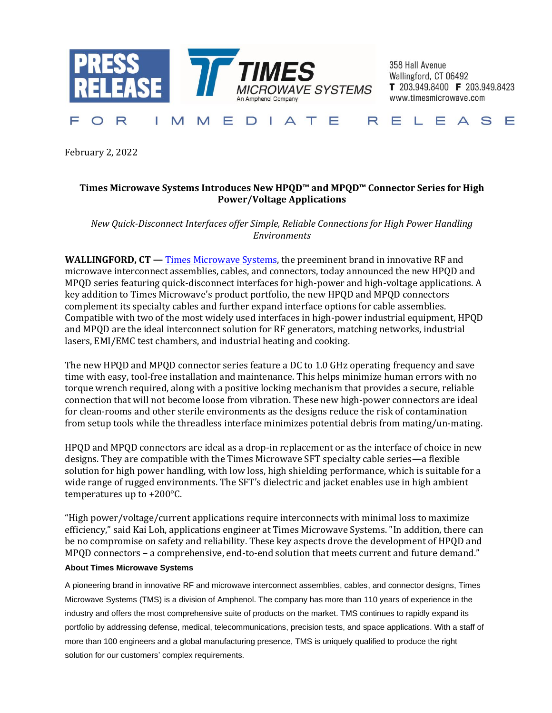

358 Hall Avenue Wallingford, CT 06492 T 203.949.8400 F 203.949.8423 www.timesmicrowave.com

## R EDIATE RELEA Т M E F  $\bigcap$ M S

February 2, 2022

## **Times Microwave Systems Introduces New HPQD™ and MPQD™ Connector Series for High Power/Voltage Applications**

*New Quick-Disconnect Interfaces offer Simple, Reliable Connections for High Power Handling Environments*

**WALLINGFORD, CT — [Times Microwave Systems,](https://www.timesmicrowave.com/) the preeminent brand in innovative RF and** microwave interconnect assemblies, cables, and connectors, today announced the new HPQD and MPQD series featuring quick-disconnect interfaces for high-power and high-voltage applications. A key addition to Times Microwave's product portfolio, the new HPQD and MPQD connectors complement its specialty cables and further expand interface options for cable assemblies. Compatible with two of the most widely used interfaces in high-power industrial equipment, HPQD and MPQD are the ideal interconnect solution for RF generators, matching networks, industrial lasers, EMI/EMC test chambers, and industrial heating and cooking.

The new HPQD and MPQD connector series feature a DC to 1.0 GHz operating frequency and save time with easy, tool-free installation and maintenance. This helps minimize human errors with no torque wrench required, along with a positive locking mechanism that provides a secure, reliable connection that will not become loose from vibration. These new high-power connectors are ideal for clean-rooms and other sterile environments as the designs reduce the risk of contamination from setup tools while the threadless interface minimizes potential debris from mating/un-mating.

HPQD and MPQD connectors are ideal as a drop-in replacement or as the interface of choice in new designs. They are compatible with the Times Microwave SFT specialty cable series**—**a flexible solution for high power handling, with low loss, high shielding performance, which is suitable for a wide range of rugged environments. The SFT's dielectric and jacket enables use in high ambient temperatures up to +200°C.

"High power/voltage/current applications require interconnects with minimal loss to maximize efficiency," said Kai Loh, applications engineer at Times Microwave Systems. "In addition, there can be no compromise on safety and reliability. These key aspects drove the development of HPQD and MPQD connectors – a comprehensive, end-to-end solution that meets current and future demand."

## **About Times Microwave Systems**

A pioneering brand in innovative RF and microwave interconnect assemblies, cables, and connector designs, Times Microwave Systems (TMS) is a division of Amphenol. The company has more than 110 years of experience in the industry and offers the most comprehensive suite of products on the market. TMS continues to rapidly expand its portfolio by addressing defense, medical, telecommunications, precision tests, and space applications. With a staff of more than 100 engineers and a global manufacturing presence, TMS is uniquely qualified to produce the right solution for our customers' complex requirements.